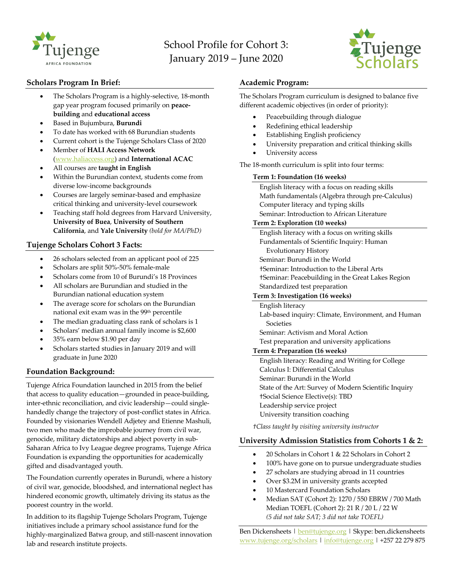

# School Profile for Cohort 3: January 2019 – June 2020



# **Scholars Program In Brief:**

- The Scholars Program is a highly-selective, 18-month gap year program focused primarily on **peacebuilding** and **educational access**
- Based in Bujumbura, **Burundi**
- To date has worked with 68 Burundian students
- Current cohort is the Tujenge Scholars Class of 2020
- Member of **HALI Access Network** (www.haliaccess.org) and **International ACAC**
- All courses are **taught in English**
- Within the Burundian context, students come from diverse low-income backgrounds
- Courses are largely seminar-based and emphasize critical thinking and university-level coursework
- Teaching staff hold degrees from Harvard University, **University of Buea**, **University of Southern California**, and **Yale University** *(bold for MA/PhD)*

# **Tujenge Scholars Cohort 3 Facts:**

- 26 scholars selected from an applicant pool of 225
- Scholars are split 50%-50% female-male
- Scholars come from 10 of Burundi's 18 Provinces
- All scholars are Burundian and studied in the Burundian national education system
- The average score for scholars on the Burundian national exit exam was in the 99th percentile
- The median graduating class rank of scholars is 1
- Scholars' median annual family income is \$2,600
- 35% earn below \$1.90 per day
- Scholars started studies in January 2019 and will graduate in June 2020

# **Foundation Background:**

Tujenge Africa Foundation launched in 2015 from the belief that access to quality education—grounded in peace-building, inter-ethnic reconciliation, and civic leadership—could singlehandedly change the trajectory of post-conflict states in Africa. Founded by visionaries Wendell Adjetey and Etienne Mashuli, two men who made the improbable journey from civil war, genocide, military dictatorships and abject poverty in sub-Saharan Africa to Ivy League degree programs, Tujenge Africa Foundation is expanding the opportunities for academically gifted and disadvantaged youth.

The Foundation currently operates in Burundi, where a history of civil war, genocide, bloodshed, and international neglect has hindered economic growth, ultimately driving its status as the poorest country in the world.

In addition to its flagship Tujenge Scholars Program, Tujenge initiatives include a primary school assistance fund for the highly-marginalized Batwa group, and still-nascent innovation lab and research institute projects.

## **Academic Program:**

The Scholars Program curriculum is designed to balance five different academic objectives (in order of priority):

- Peacebuilding through dialogue
- Redefining ethical leadership
- Establishing English proficiency
- University preparation and critical thinking skills
- University access

The 18-month curriculum is split into four terms:

## **Term 1: Foundation (16 weeks)**

English literacy with a focus on reading skills Math fundamentals (Algebra through pre-Calculus) Computer literacy and typing skills Seminar: Introduction to African Literature

## **Term 2: Exploration (10 weeks)**

English literacy with a focus on writing skills Fundamentals of Scientific Inquiry: Human Evolutionary History Seminar: Burundi in the World †Seminar: Introduction to the Liberal Arts †Seminar: Peacebuilding in the Great Lakes Region Standardized test preparation **Term 3: Investigation (16 weeks)** English literacy Lab-based inquiry: Climate, Environment, and Human Societies

Seminar: Activism and Moral Action

Test preparation and university applications

# **Term 4: Preparation (16 weeks)**

English literacy: Reading and Writing for College Calculus I: Differential Calculus Seminar: Burundi in the World State of the Art: Survey of Modern Scientific Inquiry †Social Science Elective(s): TBD Leadership service project University transition coaching

*†Class taught by visiting university instructor*

# **University Admission Statistics from Cohorts 1 & 2:**

- 20 Scholars in Cohort 1 & 22 Scholars in Cohort 2
- 100% have gone on to pursue undergraduate studies
- 27 scholars are studying abroad in 11 countries
- Over \$3.2M in university grants accepted
- 10 Mastercard Foundation Scholars
- Median SAT (Cohort 2): 1270 / 550 EBRW / 700 Math Median TOEFL (Cohort 2): 21 R / 20 L / 22 W *(5 did not take SAT; 3 did not take TOEFL)*

Ben Dickensheets | ben@tujenge.org | Skype: ben.dickensheets www.tujenge.org/scholars | info@tujenge.org | +257 22 279 875